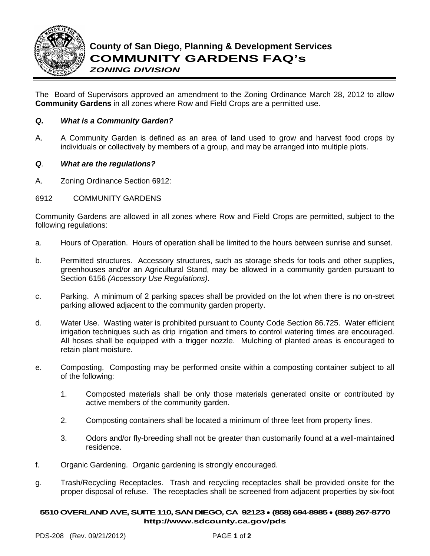

The Board of Supervisors approved an amendment to the Zoning Ordinance March 28, 2012 to allow **Community Gardens** in all zones where Row and Field Crops are a permitted use.

## *Q. What is a Community Garden?*

A. A Community Garden is defined as an area of land used to grow and harvest food crops by individuals or collectively by members of a group, and may be arranged into multiple plots.

### *Q. What are the regulations?*

A. Zoning Ordinance Section 6912:

### 6912 COMMUNITY GARDENS

Community Gardens are allowed in all zones where Row and Field Crops are permitted, subject to the following regulations:

- a. Hours of Operation. Hours of operation shall be limited to the hours between sunrise and sunset.
- b. Permitted structures. Accessory structures, such as storage sheds for tools and other supplies, greenhouses and/or an Agricultural Stand, may be allowed in a community garden pursuant to Section 6156 *(Accessory Use Regulations)*.
- c. Parking. A minimum of 2 parking spaces shall be provided on the lot when there is no on-street parking allowed adjacent to the community garden property.
- d. Water Use. Wasting water is prohibited pursuant to County Code Section 86.725. Water efficient irrigation techniques such as drip irrigation and timers to control watering times are encouraged. All hoses shall be equipped with a trigger nozzle. Mulching of planted areas is encouraged to retain plant moisture.
- e. Composting. Composting may be performed onsite within a composting container subject to all of the following:
	- 1. Composted materials shall be only those materials generated onsite or contributed by active members of the community garden.
	- 2. Composting containers shall be located a minimum of three feet from property lines.
	- 3. Odors and/or fly-breeding shall not be greater than customarily found at a well-maintained residence.
- f. Organic Gardening. Organic gardening is strongly encouraged.
- g. Trash/Recycling Receptacles. Trash and recycling receptacles shall be provided onsite for the proper disposal of refuse. The receptacles shall be screened from adjacent properties by six-foot

#### **5510OVERLAND AVE, SUITE 110, SAN DIEGO, CA 92123** ● **(858) 694-8985** ● **(888) 267-8770 [http://www.sdcounty.ca.gov/pds](http://www.sdcpds.org/)**